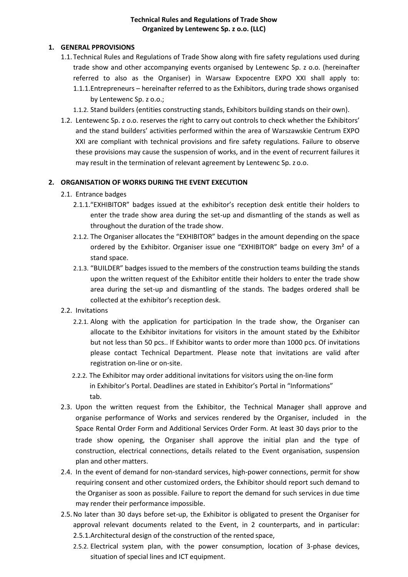#### **Technical Rules and Regulations of Trade Show Organized by Lentewenc Sp. z o.o. (LLC)**

### **1. GENERAL PPROVISIONS**

- 1.1.Technical Rules and Regulations of Trade Show along with fire safety regulations used during trade show and other accompanying events organised by Lentewenc Sp. z o.o. (hereinafter referred to also as the Organiser) in Warsaw Expocentre EXPO XXI shall apply to: 1.1.1.Entrepreneurs – hereinafter referred to as the Exhibitors, during trade shows organised by Lentewenc Sp. z o.o.;
	- 1.1.2. Stand builders (entities constructing stands, Exhibitors building stands on their own).
- 1.2. Lentewenc Sp. z o.o. reserves the right to carry out controls to check whether the Exhibitors' and the stand builders' activities performed within the area of Warszawskie Centrum EXPO XXI are compliant with technical provisions and fire safety regulations. Failure to observe these provisions may cause the suspension of works, and in the event of recurrent failures it may result in the termination of relevant agreement by Lentewenc Sp. z o.o.

#### **2. ORGANISATION OF WORKS DURING THE EVENT EXECUTION**

- 2.1. Entrance badges
	- 2.1.1."EXHIBITOR" badges issued at the exhibitor's reception desk entitle their holders to enter the trade show area during the set-up and dismantling of the stands as well as throughout the duration of the trade show.
	- 2.1.2. The Organiser allocates the "EXHIBITOR" badges in the amount depending on the space ordered by the Exhibitor. Organiser issue one "EXHIBITOR" badge on every 3m² of a stand space.
	- 2.1.3. "BUILDER" badges issued to the members of the construction teams building the stands upon the written request of the Exhibitor entitle their holders to enter the trade show area during the set-up and dismantling of the stands. The badges ordered shall be collected at the exhibitor's reception desk.
- 2.2. Invitations
	- 2.2.1. Along with the application for participation In the trade show, the Organiser can allocate to the Exhibitor invitations for visitors in the amount stated by the Exhibitor but not less than 50 pcs.. If Exhibitor wants to order more than 1000 pcs. Of invitations please contact Technical Department. Please note that invitations are valid after registration on-line or on-site.
	- 2.2.2. The Exhibitor may order additional invitations for visitors using the on-line form in Exhibitor's Portal. Deadlines are stated in Exhibitor's Portal in "Informations" tab.
- 2.3. Upon the written request from the Exhibitor, the Technical Manager shall approve and organise performance of Works and services rendered by the Organiser, included in the Space Rental Order Form and Additional Services Order Form. At least 30 days prior to the trade show opening, the Organiser shall approve the initial plan and the type of construction, electrical connections, details related to the Event organisation, suspension plan and other matters.
- 2.4. In the event of demand for non-standard services, high-power connections, permit for show requiring consent and other customized orders, the Exhibitor should report such demand to the Organiser as soon as possible. Failure to report the demand for such services in due time may render their performance impossible.
- 2.5.No later than 30 days before set-up, the Exhibitor is obligated to present the Organiser for approval relevant documents related to the Event, in 2 counterparts, and in particular: 2.5.1.Architectural design of the construction of the rented space,
	- 2.5.2. Electrical system plan, with the power consumption, location of 3-phase devices, situation of special lines and ICT equipment.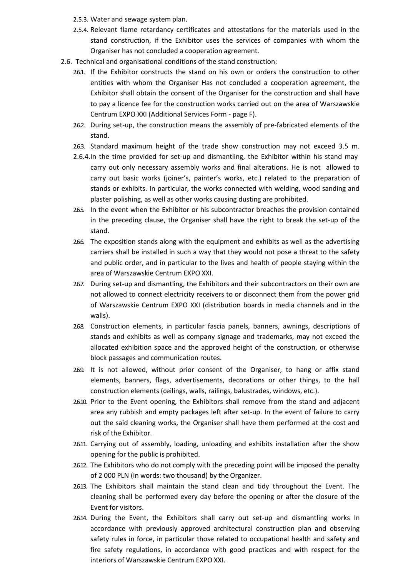- 2.5.3. Water and sewage system plan.
- 2.5.4. Relevant flame retardancy certificates and attestations for the materials used in the stand construction, if the Exhibitor uses the services of companies with whom the Organiser has not concluded a cooperation agreement.
- 2.6. Technical and organisational conditions of the stand construction:
	- 2.6.1. If the Exhibitor constructs the stand on his own or orders the construction to other entities with whom the Organiser Has not concluded a cooperation agreement, the Exhibitor shall obtain the consent of the Organiser for the construction and shall have to pay a licence fee for the construction works carried out on the area of Warszawskie Centrum EXPO XXI (Additional Services Form - page F).
	- 2.6.2. During set-up, the construction means the assembly of pre-fabricated elements of the stand.
	- 2.6.3. Standard maximum height of the trade show construction may not exceed 3.5 m.
	- 2.6.4.In the time provided for set-up and dismantling, the Exhibitor within his stand may carry out only necessary assembly works and final alterations. He is not allowed to carry out basic works (joiner's, painter's works, etc.) related to the preparation of stands or exhibits. In particular, the works connected with welding, wood sanding and plaster polishing, as well as other works causing dusting are prohibited.
	- 265. In the event when the Exhibitor or his subcontractor breaches the provision contained in the preceding clause, the Organiser shall have the right to break the set-up of the stand.
	- 2.6.6. The exposition stands along with the equipment and exhibits as well as the advertising carriers shall be installed in such a way that they would not pose a threat to the safety and public order, and in particular to the lives and health of people staying within the area of Warszawskie Centrum EXPO XXI.
	- 2.6.7. During set-up and dismantling, the Exhibitors and their subcontractors on their own are not allowed to connect electricity receivers to or disconnect them from the power grid of Warszawskie Centrum EXPO XXI (distribution boards in media channels and in the walls).
	- 2.6.8. Construction elements, in particular fascia panels, banners, awnings, descriptions of stands and exhibits as well as company signage and trademarks, may not exceed the allocated exhibition space and the approved height of the construction, or otherwise block passages and communication routes.
	- 2.69. It is not allowed, without prior consent of the Organiser, to hang or affix stand elements, banners, flags, advertisements, decorations or other things, to the hall construction elements (ceilings, walls, railings, balustrades, windows, etc.).
	- 2.6.10. Prior to the Event opening, the Exhibitors shall remove from the stand and adjacent area any rubbish and empty packages left after set-up. In the event of failure to carry out the said cleaning works, the Organiser shall have them performed at the cost and risk of the Exhibitor.
	- 2.6.11. Carrying out of assembly, loading, unloading and exhibits installation after the show opening for the public is prohibited.
	- 2.6.12. The Exhibitors who do not comply with the preceding point will be imposed the penalty of 2 000 PLN (in words: two thousand) by the Organizer.
	- 2.6.13. The Exhibitors shall maintain the stand clean and tidy throughout the Event. The cleaning shall be performed every day before the opening or after the closure of the Event for visitors.
	- 2.6.14. During the Event, the Exhibitors shall carry out set-up and dismantling works In accordance with previously approved architectural construction plan and observing safety rules in force, in particular those related to occupational health and safety and fire safety regulations, in accordance with good practices and with respect for the interiors of Warszawskie Centrum EXPO XXI.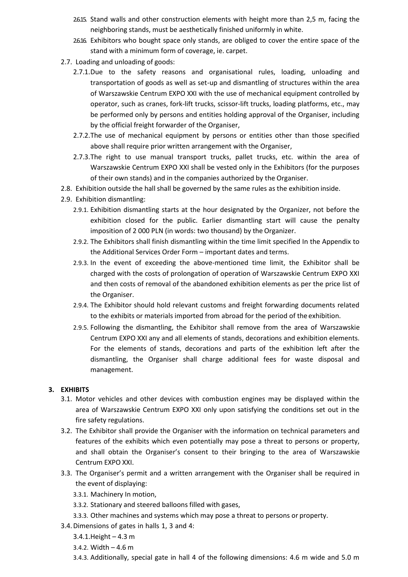- 2.6.15. Stand walls and other construction elements with height more than 2,5 m, facing the neighboring stands, must be aesthetically finished uniformly in white.
- 26.16. Exhibitors who bought space only stands, are obliged to cover the entire space of the stand with a minimum form of coverage, ie. carpet.
- 2.7. Loading and unloading of goods:
	- 2.7.1.Due to the safety reasons and organisational rules, loading, unloading and transportation of goods as well as set-up and dismantling of structures within the area of Warszawskie Centrum EXPO XXI with the use of mechanical equipment controlled by operator, such as cranes, fork-lift trucks, scissor-lift trucks, loading platforms, etc., may be performed only by persons and entities holding approval of the Organiser, including by the official freight forwarder of the Organiser,
	- 2.7.2.The use of mechanical equipment by persons or entities other than those specified above shall require prior written arrangement with the Organiser,
	- 2.7.3.The right to use manual transport trucks, pallet trucks, etc. within the area of Warszawskie Centrum EXPO XXI shall be vested only in the Exhibitors (for the purposes of their own stands) and in the companies authorized by the Organiser.
- 2.8. Exhibition outside the hall shall be governed by the same rules as the exhibition inside.
- 2.9. Exhibition dismantling:
	- 2.9.1. Exhibition dismantling starts at the hour designated by the Organizer, not before the exhibition closed for the public. Earlier dismantling start will cause the penalty imposition of 2 000 PLN (in words: two thousand) by the Organizer.
	- 2.9.2. The Exhibitors shall finish dismantling within the time limit specified In the Appendix to the Additional Services Order Form – important dates and terms.
	- 2.9.3. In the event of exceeding the above-mentioned time limit, the Exhibitor shall be charged with the costs of prolongation of operation of Warszawskie Centrum EXPO XXI and then costs of removal of the abandoned exhibition elements as per the price list of the Organiser.
	- 2.9.4. The Exhibitor should hold relevant customs and freight forwarding documents related to the exhibits or materials imported from abroad for the period of the exhibition.
	- 2.9.5. Following the dismantling, the Exhibitor shall remove from the area of Warszawskie Centrum EXPO XXI any and all elements of stands, decorations and exhibition elements. For the elements of stands, decorations and parts of the exhibition left after the dismantling, the Organiser shall charge additional fees for waste disposal and management.

## **3. EXHIBITS**

- 3.1. Motor vehicles and other devices with combustion engines may be displayed within the area of Warszawskie Centrum EXPO XXI only upon satisfying the conditions set out in the fire safety regulations.
- 3.2. The Exhibitor shall provide the Organiser with the information on technical parameters and features of the exhibits which even potentially may pose a threat to persons or property, and shall obtain the Organiser's consent to their bringing to the area of Warszawskie Centrum EXPO XXI.
- 3.3. The Organiser's permit and a written arrangement with the Organiser shall be required in the event of displaying:
	- 3.3.1. Machinery In motion,
	- 3.3.2. Stationary and steered balloons filled with gases,
	- 3.3.3. Other machines and systems which may pose a threat to persons or property.
- 3.4.Dimensions of gates in halls 1, 3 and 4:
	- 3.4.1.Height 4.3 m
	- 3.4.2. Width 4.6 m
	- 3.4.3. Additionally, special gate in hall 4 of the following dimensions: 4.6 m wide and 5.0 m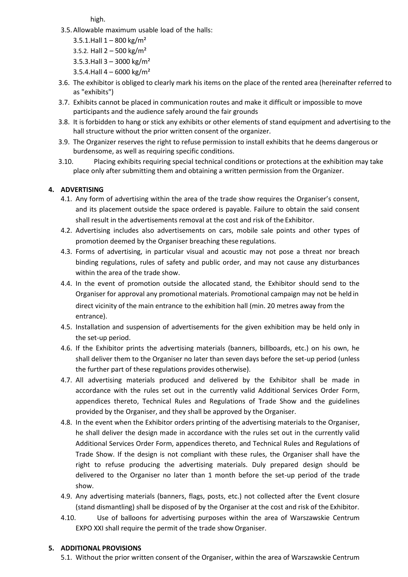high.

- 3.5.Allowable maximum usable load of the halls:
	- 3.5.1. Hall  $1 800$  kg/m<sup>2</sup>
	- 3.5.2. Hall  $2 500$  kg/m<sup>2</sup>
	- 3.5.3.Hall  $3 3000$  kg/m<sup>2</sup>
	- 3.5.4.Hall  $4 6000$  kg/m<sup>2</sup>
- 3.6. The exhibitor is obliged to clearly mark his items on the place of the rented area (hereinafter referred to as "exhibits")
- 3.7. Exhibits cannot be placed in communication routes and make it difficult or impossible to move participants and the audience safely around the fair grounds
- 3.8. It is forbidden to hang or stick any exhibits or other elements of stand equipment and advertising to the hall structure without the prior written consent of the organizer.
- 3.9. The Organizer reserves the right to refuse permission to install exhibits that he deems dangerous or burdensome, as well as requiring specific conditions.
- 3.10. Placing exhibits requiring special technical conditions or protections at the exhibition may take place only after submitting them and obtaining a written permission from the Organizer.

# **4. ADVERTISING**

- 4.1. Any form of advertising within the area of the trade show requires the Organiser's consent, and its placement outside the space ordered is payable. Failure to obtain the said consent shall result in the advertisements removal at the cost and risk of the Exhibitor.
- 4.2. Advertising includes also advertisements on cars, mobile sale points and other types of promotion deemed by the Organiser breaching these regulations.
- 4.3. Forms of advertising, in particular visual and acoustic may not pose a threat nor breach binding regulations, rules of safety and public order, and may not cause any disturbances within the area of the trade show.
- 4.4. In the event of promotion outside the allocated stand, the Exhibitor should send to the Organiser for approval any promotional materials. Promotional campaign may not be held in direct vicinity of the main entrance to the exhibition hall (min. 20 metres away from the entrance).
- 4.5. Installation and suspension of advertisements for the given exhibition may be held only in the set-up period.
- 4.6. If the Exhibitor prints the advertising materials (banners, billboards, etc.) on his own, he shall deliver them to the Organiser no later than seven days before the set-up period (unless the further part of these regulations provides otherwise).
- 4.7. All advertising materials produced and delivered by the Exhibitor shall be made in accordance with the rules set out in the currently valid Additional Services Order Form, appendices thereto, Technical Rules and Regulations of Trade Show and the guidelines provided by the Organiser, and they shall be approved by the Organiser.
- 4.8. In the event when the Exhibitor orders printing of the advertising materials to the Organiser, he shall deliver the design made in accordance with the rules set out in the currently valid Additional Services Order Form, appendices thereto, and Technical Rules and Regulations of Trade Show. If the design is not compliant with these rules, the Organiser shall have the right to refuse producing the advertising materials. Duly prepared design should be delivered to the Organiser no later than 1 month before the set-up period of the trade show.
- 4.9. Any advertising materials (banners, flags, posts, etc.) not collected after the Event closure (stand dismantling) shall be disposed of by the Organiser at the cost and risk of the Exhibitor.
- 4.10. Use of balloons for advertising purposes within the area of Warszawskie Centrum EXPO XXI shall require the permit of the trade show Organiser.

## **5. ADDITIONAL PROVISIONS**

5.1. Without the prior written consent of the Organiser, within the area of Warszawskie Centrum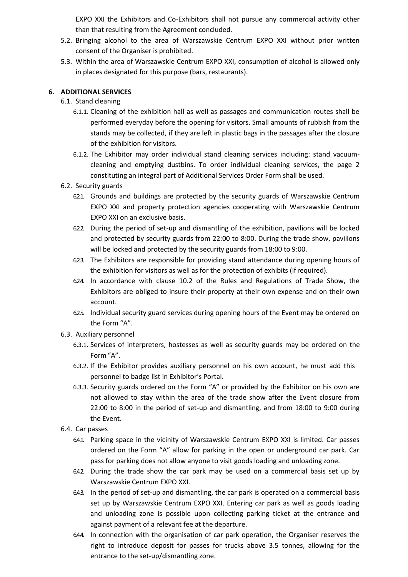EXPO XXI the Exhibitors and Co-Exhibitors shall not pursue any commercial activity other than that resulting from the Agreement concluded.

- 5.2. Bringing alcohol to the area of Warszawskie Centrum EXPO XXI without prior written consent of the Organiser is prohibited.
- 5.3. Within the area of Warszawskie Centrum EXPO XXI, consumption of alcohol is allowed only in places designated for this purpose (bars, restaurants).

## **6. ADDITIONAL SERVICES**

- 6.1. Stand cleaning
	- 6.1.1. Cleaning of the exhibition hall as well as passages and communication routes shall be performed everyday before the opening for visitors. Small amounts of rubbish from the stands may be collected, if they are left in plastic bags in the passages after the closure of the exhibition for visitors.
	- 6.1.2. The Exhibitor may order individual stand cleaning services including: stand vacuumcleaning and emptying dustbins. To order individual cleaning services, the page 2 constituting an integral part of Additional Services Order Form shall be used.
- 6.2. Security guards
	- 6.2.1. Grounds and buildings are protected by the security guards of Warszawskie Centrum EXPO XXI and property protection agencies cooperating with Warszawskie Centrum EXPO XXI on an exclusive basis.
	- 6.2.2. During the period of set-up and dismantling of the exhibition, pavilions will be locked and protected by security guards from 22:00 to 8:00. During the trade show, pavilions will be locked and protected by the security guards from 18:00 to 9:00.
	- 6.2.3. The Exhibitors are responsible for providing stand attendance during opening hours of the exhibition for visitors as well as for the protection of exhibits (ifrequired).
	- 6.2.4. In accordance with clause 10.2 of the Rules and Regulations of Trade Show, the Exhibitors are obliged to insure their property at their own expense and on their own account.
	- 6.25. Individual security guard services during opening hours of the Event may be ordered on the Form "A".
- 6.3. Auxiliary personnel
	- 6.3.1. Services of interpreters, hostesses as well as security guards may be ordered on the Form"A".
	- 6.3.2. If the Exhibitor provides auxiliary personnel on his own account, he must add this personnel to badge list in Exhibitor's Portal.
	- 6.3.3. Security guards ordered on the Form "A" or provided by the Exhibitor on his own are not allowed to stay within the area of the trade show after the Event closure from 22:00 to 8:00 in the period of set-up and dismantling, and from 18:00 to 9:00 during the Event.
- 6.4. Car passes
	- 6.4.1. Parking space in the vicinity of Warszawskie Centrum EXPO XXI is limited. Car passes ordered on the Form "A" allow for parking in the open or underground car park. Car pass for parking does not allow anyone to visit goods loading and unloading zone.
	- 6.4.2. During the trade show the car park may be used on a commercial basis set up by Warszawskie Centrum EXPO XXI.
	- 643. In the period of set-up and dismantling, the car park is operated on a commercial basis set up by Warszawskie Centrum EXPO XXI. Entering car park as well as goods loading and unloading zone is possible upon collecting parking ticket at the entrance and against payment of a relevant fee at the departure.
	- 6.4.4. In connection with the organisation of car park operation, the Organiser reserves the right to introduce deposit for passes for trucks above 3.5 tonnes, allowing for the entrance to the set-up/dismantling zone.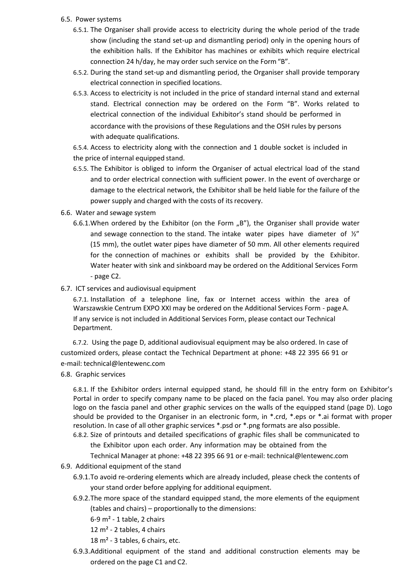#### 6.5. Power systems

- 6.5.1. The Organiser shall provide access to electricity during the whole period of the trade show (including the stand set-up and dismantling period) only in the opening hours of the exhibition halls. If the Exhibitor has machines or exhibits which require electrical connection 24 h/day, he may order such service on the Form"B".
- 6.5.2. During the stand set-up and dismantling period, the Organiser shall provide temporary electrical connection in specified locations.
- 6.5.3. Access to electricity is not included in the price of standard internal stand and external stand. Electrical connection may be ordered on the Form "B". Works related to electrical connection of the individual Exhibitor's stand should be performed in accordance with the provisions of these Regulations and the OSH rules by persons with adequate qualifications.

6.5.4. Access to electricity along with the connection and 1 double socket is included in the price of internal equipped stand.

- 6.5.5. The Exhibitor is obliged to inform the Organiser of actual electrical load of the stand and to order electrical connection with sufficient power. In the event of overcharge or damage to the electrical network, the Exhibitor shall be held liable for the failure of the power supply and charged with the costs of its recovery.
- 6.6. Water and sewage system
	- 6.6.1. When ordered by the Exhibitor (on the Form  $n$ , B"), the Organiser shall provide water and sewage connection to the stand. The intake water pipes have diameter of  $\frac{y''}{x}$ (15 mm), the outlet water pipes have diameter of 50 mm. All other elements required for the connection of machines or exhibits shall be provided by the Exhibitor. Water heater with sink and sinkboard may be ordered on the Additional Services Form - page C2.
- 6.7. ICT services and audiovisual equipment

6.7.1. Installation of a telephone line, fax or Internet access within the area of Warszawskie Centrum EXPO XXI may be ordered on the Additional Services Form - pageA. If any service is not included in Additional Services Form, please contact our Technical Department.

6.7.2. Using the page D, additional audiovisual equipment may be also ordered. In case of customized orders, please contact the Technical Department at phone: +48 22 395 66 91 or e-mail: [technical@lentewenc.com](mailto:technical@lentewenc.com)

6.8. Graphic services

6.8.1. If the Exhibitor orders internal equipped stand, he should fill in the entry form on Exhibitor's Portal in order to specify company name to be placed on the facia panel. You may also order placing logo on the fascia panel and other graphic services on the walls of the equipped stand (page D). Logo should be provided to the Organiser in an electronic form, in \*.crd, \*.eps or \*.ai format with proper resolution. In case of all other graphic services \*.psd or \*.png formats are also possible.

- 6.8.2. Size of printouts and detailed specifications of graphic files shall be communicated to the Exhibitor upon each order. Any information may be obtained from the Technical Manager at phone: +48 22 395 66 91 or e-mail[: technical@lentewenc.com](mailto:technical@lentewenc.com)
- 6.9. Additional equipment of the stand
	- 6.9.1.To avoid re-ordering elements which are already included, please check the contents of your stand order before applying for additional equipment.
	- 6.9.2.The more space of the standard equipped stand, the more elements of the equipment (tables and chairs) – proportionally to the dimensions:
		- 6-9 m² 1 table, 2 chairs
		- 12 m² 2 tables, 4 chairs
		- 18 m² 3 tables, 6 chairs, etc.
	- 6.9.3.Additional equipment of the stand and additional construction elements may be ordered on the page C1 and C2.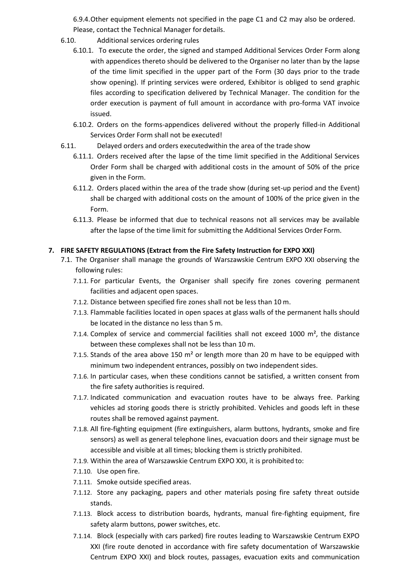6.9.4.Other equipment elements not specified in the page C1 and C2 may also be ordered. Please, contact the Technical Manager for details.

- 6.10. Additional services ordering rules
	- 6.10.1. To execute the order, the signed and stamped Additional Services Order Form along with appendices thereto should be delivered to the Organiser no later than by the lapse of the time limit specified in the upper part of the Form (30 days prior to the trade show opening). If printing services were ordered, Exhibitor is obliged to send graphic files according to specification delivered by Technical Manager. The condition for the order execution is payment of full amount in accordance with pro-forma VAT invoice issued.
	- 6.10.2. Orders on the forms-appendices delivered without the properly filled-in Additional Services Order Form shall not be executed!
- 6.11. Delayed orders and orders executedwithin the area of the trade show
	- 6.11.1. Orders received after the lapse of the time limit specified in the Additional Services Order Form shall be charged with additional costs in the amount of 50% of the price given in the Form.
	- 6.11.2. Orders placed within the area of the trade show (during set-up period and the Event) shall be charged with additional costs on the amount of 100% of the price given in the Form.
	- 6.11.3. Please be informed that due to technical reasons not all services may be available after the lapse of the time limit for submitting the Additional Services Order Form.

#### **7. FIRE SAFETY REGULATIONS (Extract from the Fire Safety Instruction for EXPO XXI)**

- 7.1. The Organiser shall manage the grounds of Warszawskie Centrum EXPO XXI observing the following rules:
	- 7.1.1. For particular Events, the Organiser shall specify fire zones covering permanent facilities and adjacent open spaces.
	- 7.1.2. Distance between specified fire zones shall not be less than 10 m.
	- 7.1.3. Flammable facilities located in open spaces at glass walls of the permanent halls should be located in the distance no less than 5 m.
	- 7.1.4. Complex of service and commercial facilities shall not exceed 1000  $m<sup>2</sup>$ , the distance between these complexes shall not be less than 10 m.
	- 7.1.5. Stands of the area above 150  $m<sup>2</sup>$  or length more than 20 m have to be equipped with minimum two independent entrances, possibly on two independent sides.
	- 7.1.6. In particular cases, when these conditions cannot be satisfied, a written consent from the fire safety authorities is required.
	- 7.1.7. Indicated communication and evacuation routes have to be always free. Parking vehicles ad storing goods there is strictly prohibited. Vehicles and goods left in these routes shall be removed against payment.
	- 7.1.8. All fire-fighting equipment (fire extinguishers, alarm buttons, hydrants, smoke and fire sensors) as well as general telephone lines, evacuation doors and their signage must be accessible and visible at all times; blocking them is strictly prohibited.
	- 7.1.9. Within the area of Warszawskie Centrum EXPO XXI, it is prohibited to:
	- 7.1.10. Use open fire.
	- 7.1.11. Smoke outside specified areas.
	- 7.1.12. Store any packaging, papers and other materials posing fire safety threat outside stands.
	- 7.1.13. Block access to distribution boards, hydrants, manual fire-fighting equipment, fire safety alarm buttons, power switches, etc.
	- 7.1.14. Block (especially with cars parked) fire routes leading to Warszawskie Centrum EXPO XXI (fire route denoted in accordance with fire safety documentation of Warszawskie Centrum EXPO XXI) and block routes, passages, evacuation exits and communication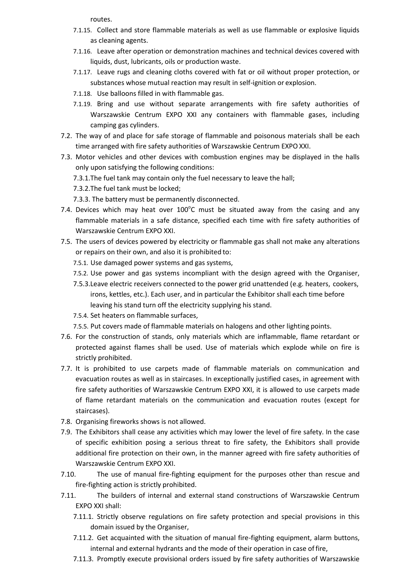routes.

- 7.1.15. Collect and store flammable materials as well as use flammable or explosive liquids as cleaning agents.
- 7.1.16. Leave after operation or demonstration machines and technical devices covered with liquids, dust, lubricants, oils or production waste.
- 7.1.17. Leave rugs and cleaning cloths covered with fat or oil without proper protection, or substances whose mutual reaction may result in self-ignition or explosion.
- 7.1.18. Use balloons filled in with flammable gas.
- 7.1.19. Bring and use without separate arrangements with fire safety authorities of Warszawskie Centrum EXPO XXI any containers with flammable gases, including camping gas cylinders.
- 7.2. The way of and place for safe storage of flammable and poisonous materials shall be each time arranged with fire safety authorities of Warszawskie Centrum EXPOXXI.
- 7.3. Motor vehicles and other devices with combustion engines may be displayed in the halls only upon satisfying the following conditions:
	- 7.3.1.The fuel tank may contain only the fuel necessary to leave the hall;
	- 7.3.2.The fuel tank must be locked;
	- 7.3.3. The battery must be permanently disconnected.
- 7.4. Devices which may heat over  $100^{\circ}$ C must be situated away from the casing and any flammable materials in a safe distance, specified each time with fire safety authorities of Warszawskie Centrum EXPO XXI.
- 7.5. The users of devices powered by electricity or flammable gas shall not make any alterations or repairs on their own, and also it is prohibited to:
	- 7.5.1. Use damaged power systems and gas systems,
	- 7.5.2. Use power and gas systems incompliant with the design agreed with the Organiser,
	- 7.5.3.Leave electric receivers connected to the power grid unattended (e.g. heaters, cookers, irons, kettles, etc.). Each user, and in particular the Exhibitor shall each time before leaving his stand turn off the electricity supplying his stand.
	- 7.5.4. Set heaters on flammable surfaces,
	- 7.5.5. Put covers made of flammable materials on halogens and other lighting points.
- 7.6. For the construction of stands, only materials which are inflammable, flame retardant or protected against flames shall be used. Use of materials which explode while on fire is strictly prohibited.
- 7.7. It is prohibited to use carpets made of flammable materials on communication and evacuation routes as well as in staircases. In exceptionally justified cases, in agreement with fire safety authorities of Warszawskie Centrum EXPO XXI, it is allowed to use carpets made of flame retardant materials on the communication and evacuation routes (except for staircases).
- 7.8. Organising fireworks shows is not allowed.
- 7.9. The Exhibitors shall cease any activities which may lower the level of fire safety. In the case of specific exhibition posing a serious threat to fire safety, the Exhibitors shall provide additional fire protection on their own, in the manner agreed with fire safety authorities of Warszawskie Centrum EXPO XXI.
- 7.10. The use of manual fire-fighting equipment for the purposes other than rescue and fire-fighting action is strictly prohibited.
- 7.11. The builders of internal and external stand constructions of Warszawskie Centrum EXPO XXI shall:
	- 7.11.1. Strictly observe regulations on fire safety protection and special provisions in this domain issued by the Organiser,
	- 7.11.2. Get acquainted with the situation of manual fire-fighting equipment, alarm buttons, internal and external hydrants and the mode of their operation in case of fire,
	- 7.11.3. Promptly execute provisional orders issued by fire safety authorities of Warszawskie